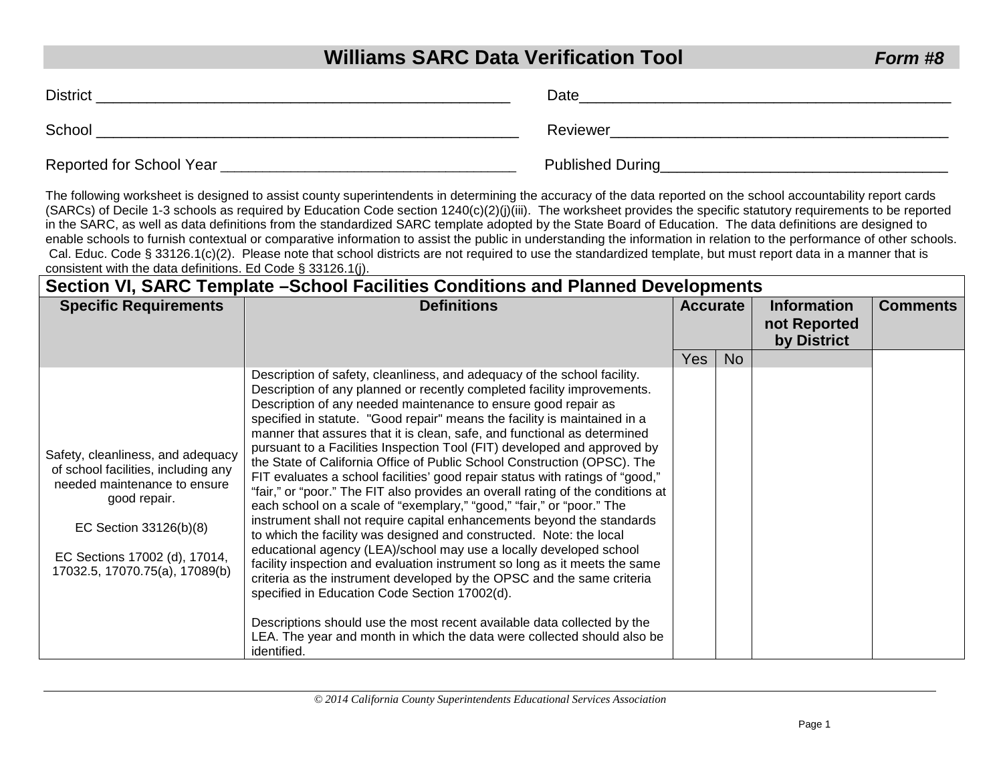# **Williams SARC Data Verification Tool** *Form #8*

| <b>District</b>          | Date                    |  |
|--------------------------|-------------------------|--|
| School                   | Reviewer                |  |
| Reported for School Year | <b>Published During</b> |  |

The following worksheet is designed to assist county superintendents in determining the accuracy of the data reported on the school accountability report cards (SARCs) of Decile 1-3 schools as required by Education Code section 1240(c)(2)(j)(iii). The worksheet provides the specific statutory requirements to be reported in the SARC, as well as data definitions from the standardized SARC template adopted by the State Board of Education. The data definitions are designed to enable schools to furnish contextual or comparative information to assist the public in understanding the information in relation to the performance of other schools. Cal. Educ. Code § 33126.1(c)(2). Please note that school districts are not required to use the standardized template, but must report data in a manner that is consistent with the data definitions. Ed Code § 33126.1(j).

| Section VI, SARC Template - School Facilities Conditions and Planned Developments                                                                                                                                     |                                                                                                                                                                                                                                                                                                                                                                                                                                                                                                                                                                                                                                                                                                                                                                                                                                                                                                                                                                                                                                                                                                                                                                                                                                                                                                                                                                                          |                 |           |                                                   |                 |
|-----------------------------------------------------------------------------------------------------------------------------------------------------------------------------------------------------------------------|------------------------------------------------------------------------------------------------------------------------------------------------------------------------------------------------------------------------------------------------------------------------------------------------------------------------------------------------------------------------------------------------------------------------------------------------------------------------------------------------------------------------------------------------------------------------------------------------------------------------------------------------------------------------------------------------------------------------------------------------------------------------------------------------------------------------------------------------------------------------------------------------------------------------------------------------------------------------------------------------------------------------------------------------------------------------------------------------------------------------------------------------------------------------------------------------------------------------------------------------------------------------------------------------------------------------------------------------------------------------------------------|-----------------|-----------|---------------------------------------------------|-----------------|
| <b>Specific Requirements</b>                                                                                                                                                                                          | <b>Definitions</b>                                                                                                                                                                                                                                                                                                                                                                                                                                                                                                                                                                                                                                                                                                                                                                                                                                                                                                                                                                                                                                                                                                                                                                                                                                                                                                                                                                       | <b>Accurate</b> |           | <b>Information</b><br>not Reported<br>by District | <b>Comments</b> |
|                                                                                                                                                                                                                       |                                                                                                                                                                                                                                                                                                                                                                                                                                                                                                                                                                                                                                                                                                                                                                                                                                                                                                                                                                                                                                                                                                                                                                                                                                                                                                                                                                                          | <b>Yes</b>      | <b>No</b> |                                                   |                 |
| Safety, cleanliness, and adequacy<br>of school facilities, including any<br>needed maintenance to ensure<br>good repair.<br>EC Section 33126(b)(8)<br>EC Sections 17002 (d), 17014,<br>17032.5, 17070.75(a), 17089(b) | Description of safety, cleanliness, and adequacy of the school facility.<br>Description of any planned or recently completed facility improvements.<br>Description of any needed maintenance to ensure good repair as<br>specified in statute. "Good repair" means the facility is maintained in a<br>manner that assures that it is clean, safe, and functional as determined<br>pursuant to a Facilities Inspection Tool (FIT) developed and approved by<br>the State of California Office of Public School Construction (OPSC). The<br>FIT evaluates a school facilities' good repair status with ratings of "good,"<br>"fair," or "poor." The FIT also provides an overall rating of the conditions at<br>each school on a scale of "exemplary," "good," "fair," or "poor." The<br>instrument shall not require capital enhancements beyond the standards<br>to which the facility was designed and constructed. Note: the local<br>educational agency (LEA)/school may use a locally developed school<br>facility inspection and evaluation instrument so long as it meets the same<br>criteria as the instrument developed by the OPSC and the same criteria<br>specified in Education Code Section 17002(d).<br>Descriptions should use the most recent available data collected by the<br>LEA. The year and month in which the data were collected should also be<br>identified. |                 |           |                                                   |                 |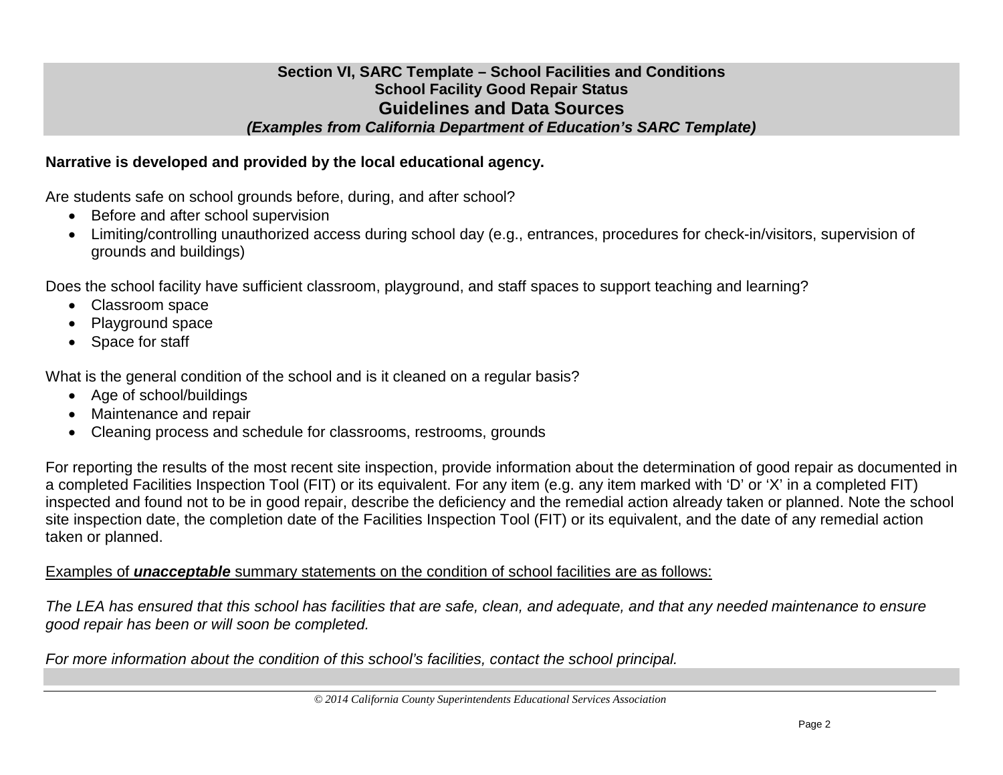#### **Section VI, SARC Template – School Facilities and Conditions School Facility Good Repair Status Guidelines and Data Sources** *(Examples from California Department of Education's SARC Template)*

## **Narrative is developed and provided by the local educational agency.**

Are students safe on school grounds before, during, and after school?

- Before and after school supervision
- Limiting/controlling unauthorized access during school day (e.g., entrances, procedures for check-in/visitors, supervision of grounds and buildings)

Does the school facility have sufficient classroom, playground, and staff spaces to support teaching and learning?

- Classroom space
- Playground space
- Space for staff

What is the general condition of the school and is it cleaned on a regular basis?

- Age of school/buildings
- Maintenance and repair
- Cleaning process and schedule for classrooms, restrooms, grounds

For reporting the results of the most recent site inspection, provide information about the determination of good repair as documented in a completed Facilities Inspection Tool (FIT) or its equivalent. For any item (e.g. any item marked with 'D' or 'X' in a completed FIT) inspected and found not to be in good repair, describe the deficiency and the remedial action already taken or planned. Note the school site inspection date, the completion date of the Facilities Inspection Tool (FIT) or its equivalent, and the date of any remedial action taken or planned.

#### Examples of *unacceptable* summary statements on the condition of school facilities are as follows:

*The LEA has ensured that this school has facilities that are safe, clean, and adequate, and that any needed maintenance to ensure good repair has been or will soon be completed.*

*For more information about the condition of this school's facilities, contact the school principal.*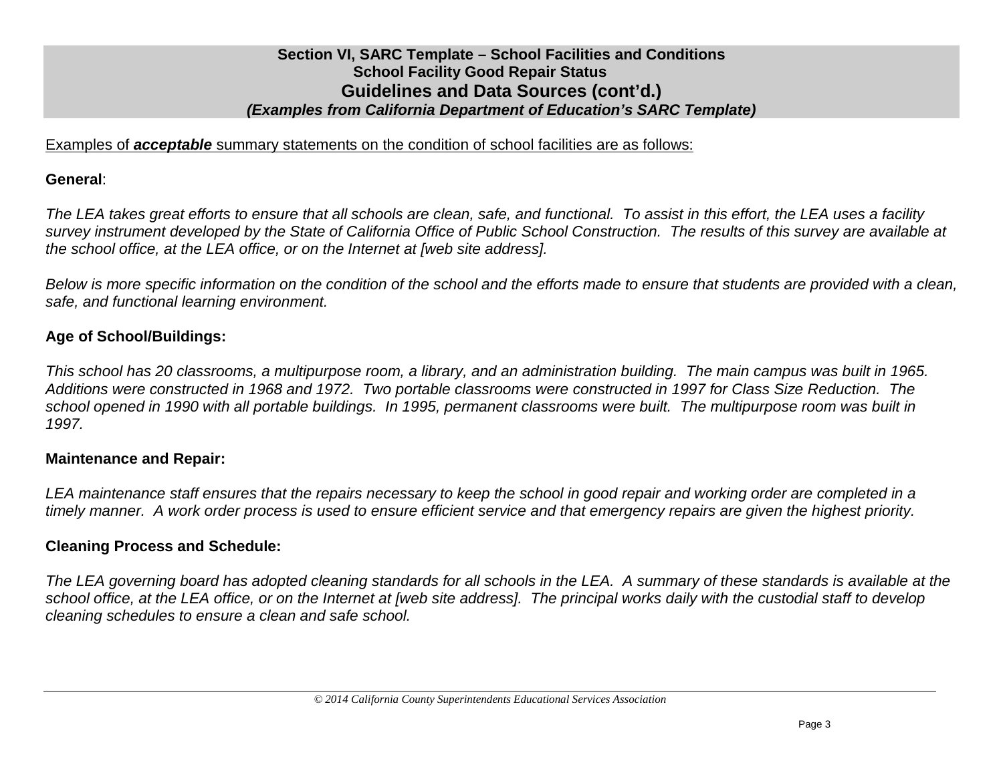## **Section VI, SARC Template – School Facilities and Conditions School Facility Good Repair Status Guidelines and Data Sources (cont'd.)** *(Examples from California Department of Education's SARC Template)*

Examples of *acceptable* summary statements on the condition of school facilities are as follows:

#### **General**:

*The LEA takes great efforts to ensure that all schools are clean, safe, and functional. To assist in this effort, the LEA uses a facility survey instrument developed by the State of California Office of Public School Construction. The results of this survey are available at the school office, at the LEA office, or on the Internet at [web site address].*

*Below is more specific information on the condition of the school and the efforts made to ensure that students are provided with a clean, safe, and functional learning environment.*

## **Age of School/Buildings:**

*This school has 20 classrooms, a multipurpose room, a library, and an administration building. The main campus was built in 1965. Additions were constructed in 1968 and 1972. Two portable classrooms were constructed in 1997 for Class Size Reduction. The school opened in 1990 with all portable buildings. In 1995, permanent classrooms were built. The multipurpose room was built in 1997.*

## **Maintenance and Repair:**

*LEA maintenance staff ensures that the repairs necessary to keep the school in good repair and working order are completed in a timely manner. A work order process is used to ensure efficient service and that emergency repairs are given the highest priority.*

#### **Cleaning Process and Schedule:**

*The LEA governing board has adopted cleaning standards for all schools in the LEA. A summary of these standards is available at the school office, at the LEA office, or on the Internet at [web site address]. The principal works daily with the custodial staff to develop cleaning schedules to ensure a clean and safe school.*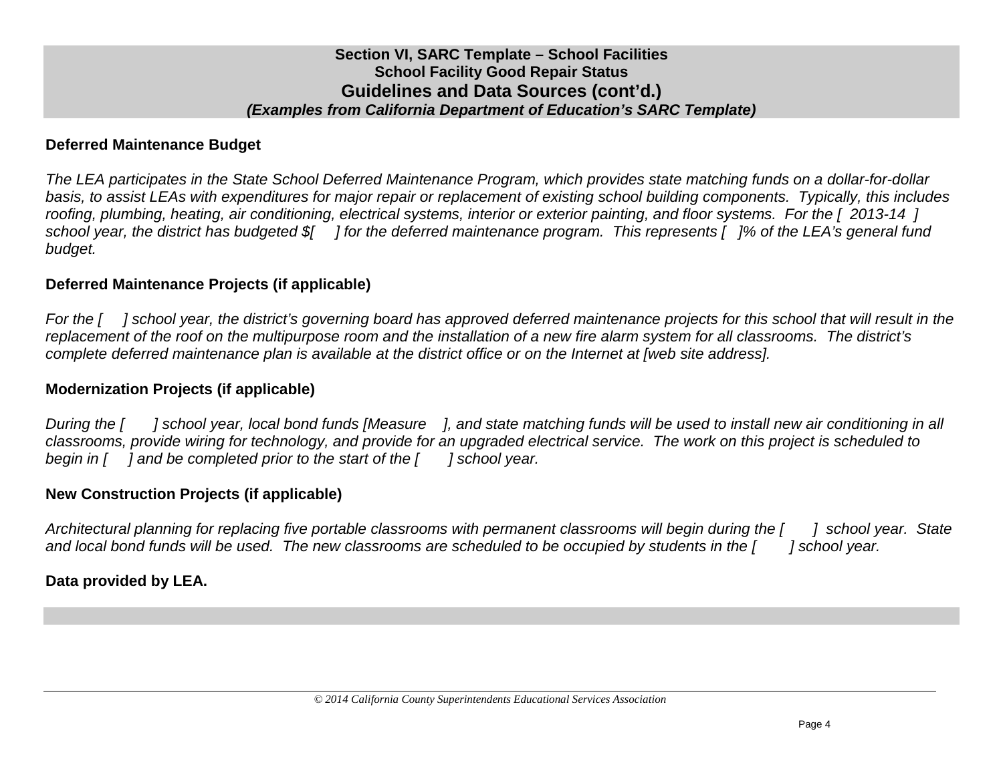# **Deferred Maintenance Budget**

*The LEA participates in the State School Deferred Maintenance Program, which provides state matching funds on a dollar-for-dollar basis, to assist LEAs with expenditures for major repair or replacement of existing school building components. Typically, this includes roofing, plumbing, heating, air conditioning, electrical systems, interior or exterior painting, and floor systems. For the [ 2013-14 ] school year, the district has budgeted \$[ ] for the deferred maintenance program. This represents [ ]% of the LEA's general fund budget.*

## **Deferred Maintenance Projects (if applicable)**

*For the [ ] school year, the district's governing board has approved deferred maintenance projects for this school that will result in the replacement of the roof on the multipurpose room and the installation of a new fire alarm system for all classrooms. The district's complete deferred maintenance plan is available at the district office or on the Internet at [web site address].*

## **Modernization Projects (if applicable)**

*During the [ ] school year, local bond funds [Measure ], and state matching funds will be used to install new air conditioning in all classrooms, provide wiring for technology, and provide for an upgraded electrical service. The work on this project is scheduled to begin in [ ] and be completed prior to the start of the [ ] school year.*

#### **New Construction Projects (if applicable)**

*Architectural planning for replacing five portable classrooms with permanent classrooms will begin during the [ ] school year. State and local bond funds will be used. The new classrooms are scheduled to be occupied by students in the [ ] school year.*

#### **Data provided by LEA.**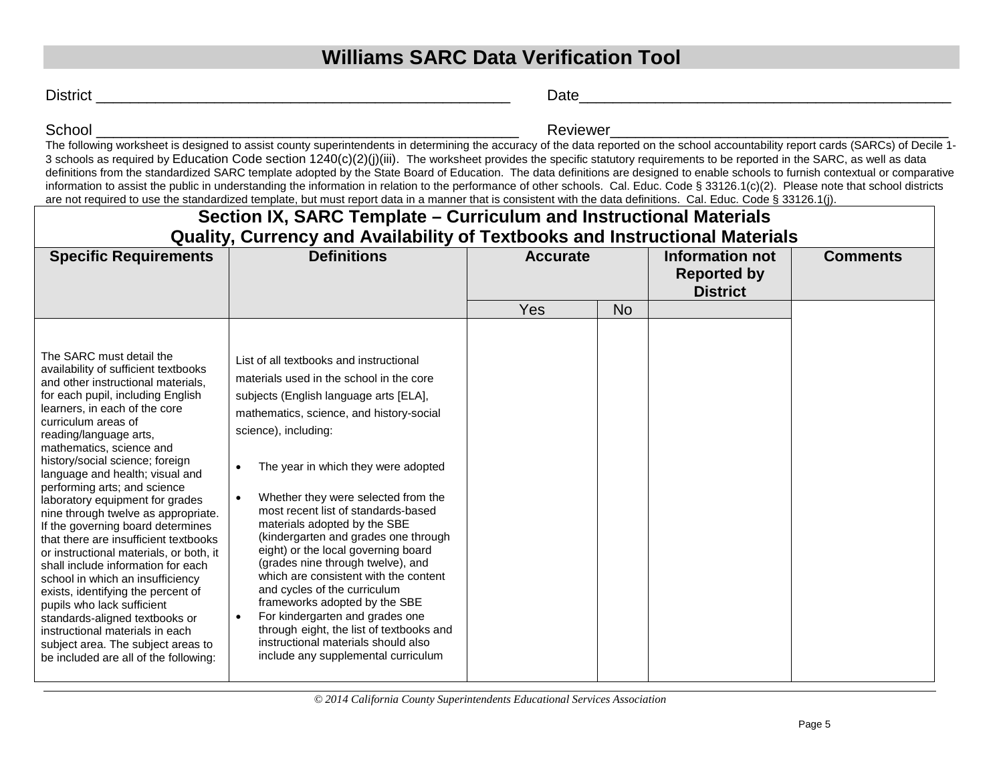# **Williams SARC Data Verification Tool**

District **Executive Contract Contract Contract Contract Contract Contract Contract Contract Contract Contract Contract Contract Contract Contract Contract Contract Contract Contract Contract Contract Contract Contract Cont** 

School \_\_\_\_\_\_\_\_\_\_\_\_\_\_\_\_\_\_\_\_\_\_\_\_\_\_\_\_\_\_\_\_\_\_\_\_\_\_\_\_\_\_\_\_\_\_\_\_\_\_ Reviewer\_\_\_\_\_\_\_\_\_\_\_\_\_\_\_\_\_\_\_\_\_\_\_\_\_\_\_\_\_\_\_\_\_\_\_\_\_\_\_\_

The following worksheet is designed to assist county superintendents in determining the accuracy of the data reported on the school accountability report cards (SARCs) of Decile 1-3 schools as required by Education Code section  $1240(c)(2)(j)(iii)$ . The worksheet provides the specific statutory requirements to be reported in the SARC, as well as data definitions from the standardized SARC template adopted by the State Board of Education. The data definitions are designed to enable schools to furnish contextual or comparative information to assist the public in understanding the information in relation to the performance of other schools. Cal. Educ. Code § 33126.1(c)(2). Please note that school districts are not required to use the standardized template, but must report data in a manner that is consistent with the data definitions. Cal. Educ. Code § 33126.1(j).

| Section IX, SARC Template – Curriculum and Instructional Materials                                                                                                                                                                                                                                                                                                                                                                                                                                                                                                                                                                                                                                                                                                                                                                                                   |                                                                                                                                                                                                                                                                                                                                                                                                                                                                                                                                                                                                                                                                                                                                                                |                 |           |                                                          |                 |
|----------------------------------------------------------------------------------------------------------------------------------------------------------------------------------------------------------------------------------------------------------------------------------------------------------------------------------------------------------------------------------------------------------------------------------------------------------------------------------------------------------------------------------------------------------------------------------------------------------------------------------------------------------------------------------------------------------------------------------------------------------------------------------------------------------------------------------------------------------------------|----------------------------------------------------------------------------------------------------------------------------------------------------------------------------------------------------------------------------------------------------------------------------------------------------------------------------------------------------------------------------------------------------------------------------------------------------------------------------------------------------------------------------------------------------------------------------------------------------------------------------------------------------------------------------------------------------------------------------------------------------------------|-----------------|-----------|----------------------------------------------------------|-----------------|
| Quality, Currency and Availability of Textbooks and Instructional Materials                                                                                                                                                                                                                                                                                                                                                                                                                                                                                                                                                                                                                                                                                                                                                                                          |                                                                                                                                                                                                                                                                                                                                                                                                                                                                                                                                                                                                                                                                                                                                                                |                 |           |                                                          |                 |
| <b>Specific Requirements</b>                                                                                                                                                                                                                                                                                                                                                                                                                                                                                                                                                                                                                                                                                                                                                                                                                                         | <b>Definitions</b>                                                                                                                                                                                                                                                                                                                                                                                                                                                                                                                                                                                                                                                                                                                                             | <b>Accurate</b> |           | Information not<br><b>Reported by</b><br><b>District</b> | <b>Comments</b> |
|                                                                                                                                                                                                                                                                                                                                                                                                                                                                                                                                                                                                                                                                                                                                                                                                                                                                      |                                                                                                                                                                                                                                                                                                                                                                                                                                                                                                                                                                                                                                                                                                                                                                | Yes             | <b>No</b> |                                                          |                 |
| The SARC must detail the<br>availability of sufficient textbooks<br>and other instructional materials,<br>for each pupil, including English<br>learners, in each of the core<br>curriculum areas of<br>reading/language arts,<br>mathematics, science and<br>history/social science; foreign<br>language and health; visual and<br>performing arts; and science<br>laboratory equipment for grades<br>nine through twelve as appropriate.<br>If the governing board determines<br>that there are insufficient textbooks<br>or instructional materials, or both, it<br>shall include information for each<br>school in which an insufficiency<br>exists, identifying the percent of<br>pupils who lack sufficient<br>standards-aligned textbooks or<br>instructional materials in each<br>subject area. The subject areas to<br>be included are all of the following: | List of all textbooks and instructional<br>materials used in the school in the core<br>subjects (English language arts [ELA],<br>mathematics, science, and history-social<br>science), including:<br>The year in which they were adopted<br>$\bullet$<br>Whether they were selected from the<br>most recent list of standards-based<br>materials adopted by the SBE<br>(kindergarten and grades one through<br>eight) or the local governing board<br>(grades nine through twelve), and<br>which are consistent with the content<br>and cycles of the curriculum<br>frameworks adopted by the SBE<br>For kindergarten and grades one<br>through eight, the list of textbooks and<br>instructional materials should also<br>include any supplemental curriculum |                 |           |                                                          |                 |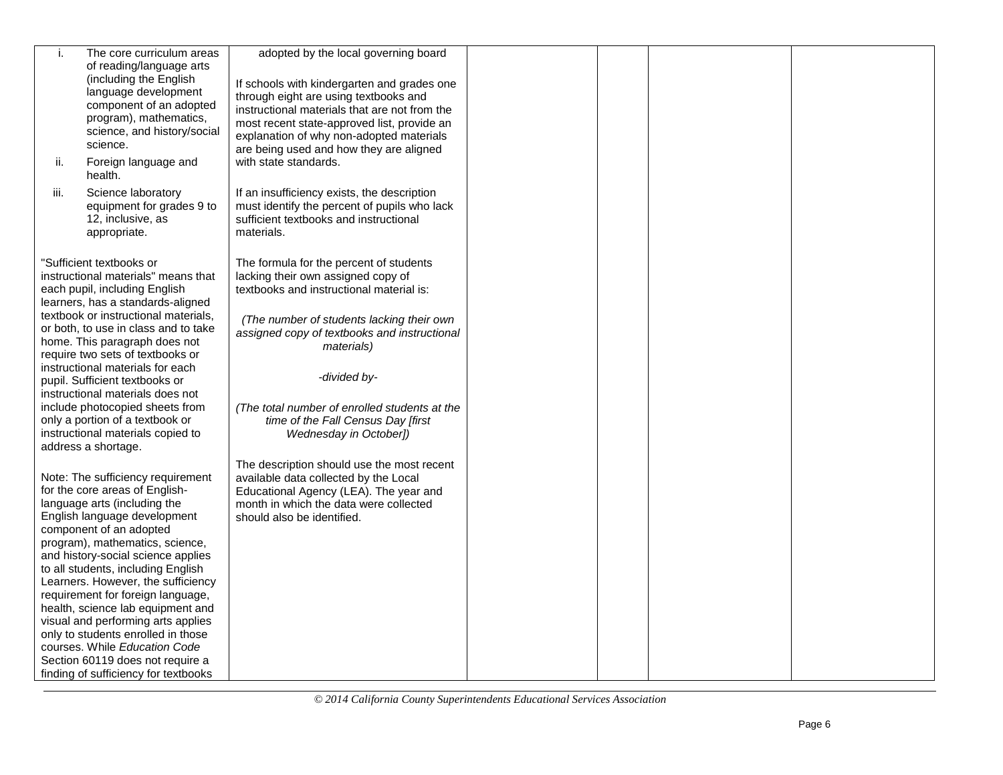| i.<br>ii.<br>iii. | The core curriculum areas<br>of reading/language arts<br>(including the English<br>language development<br>component of an adopted<br>program), mathematics,<br>science, and history/social<br>science.<br>Foreign language and<br>health.<br>Science laboratory                                                                                                                                                                                                                                                                                                                       | adopted by the local governing board<br>If schools with kindergarten and grades one<br>through eight are using textbooks and<br>instructional materials that are not from the<br>most recent state-approved list, provide an<br>explanation of why non-adopted materials<br>are being used and how they are aligned<br>with state standards.<br>If an insufficiency exists, the description |  |  |
|-------------------|----------------------------------------------------------------------------------------------------------------------------------------------------------------------------------------------------------------------------------------------------------------------------------------------------------------------------------------------------------------------------------------------------------------------------------------------------------------------------------------------------------------------------------------------------------------------------------------|---------------------------------------------------------------------------------------------------------------------------------------------------------------------------------------------------------------------------------------------------------------------------------------------------------------------------------------------------------------------------------------------|--|--|
|                   | equipment for grades 9 to<br>12, inclusive, as<br>appropriate.                                                                                                                                                                                                                                                                                                                                                                                                                                                                                                                         | must identify the percent of pupils who lack<br>sufficient textbooks and instructional<br>materials.                                                                                                                                                                                                                                                                                        |  |  |
|                   | "Sufficient textbooks or<br>instructional materials" means that<br>each pupil, including English<br>learners, has a standards-aligned<br>textbook or instructional materials,<br>or both, to use in class and to take<br>home. This paragraph does not<br>require two sets of textbooks or<br>instructional materials for each<br>pupil. Sufficient textbooks or                                                                                                                                                                                                                       | The formula for the percent of students<br>lacking their own assigned copy of<br>textbooks and instructional material is:<br>(The number of students lacking their own<br>assigned copy of textbooks and instructional<br><i>materials</i> )<br>-divided by-                                                                                                                                |  |  |
|                   | instructional materials does not<br>include photocopied sheets from<br>only a portion of a textbook or<br>instructional materials copied to<br>address a shortage.                                                                                                                                                                                                                                                                                                                                                                                                                     | (The total number of enrolled students at the<br>time of the Fall Census Day [first<br>Wednesday in October])                                                                                                                                                                                                                                                                               |  |  |
|                   | Note: The sufficiency requirement<br>for the core areas of English-<br>language arts (including the<br>English language development<br>component of an adopted<br>program), mathematics, science,<br>and history-social science applies<br>to all students, including English<br>Learners. However, the sufficiency<br>requirement for foreign language,<br>health, science lab equipment and<br>visual and performing arts applies<br>only to students enrolled in those<br>courses. While Education Code<br>Section 60119 does not require a<br>finding of sufficiency for textbooks | The description should use the most recent<br>available data collected by the Local<br>Educational Agency (LEA). The year and<br>month in which the data were collected<br>should also be identified.                                                                                                                                                                                       |  |  |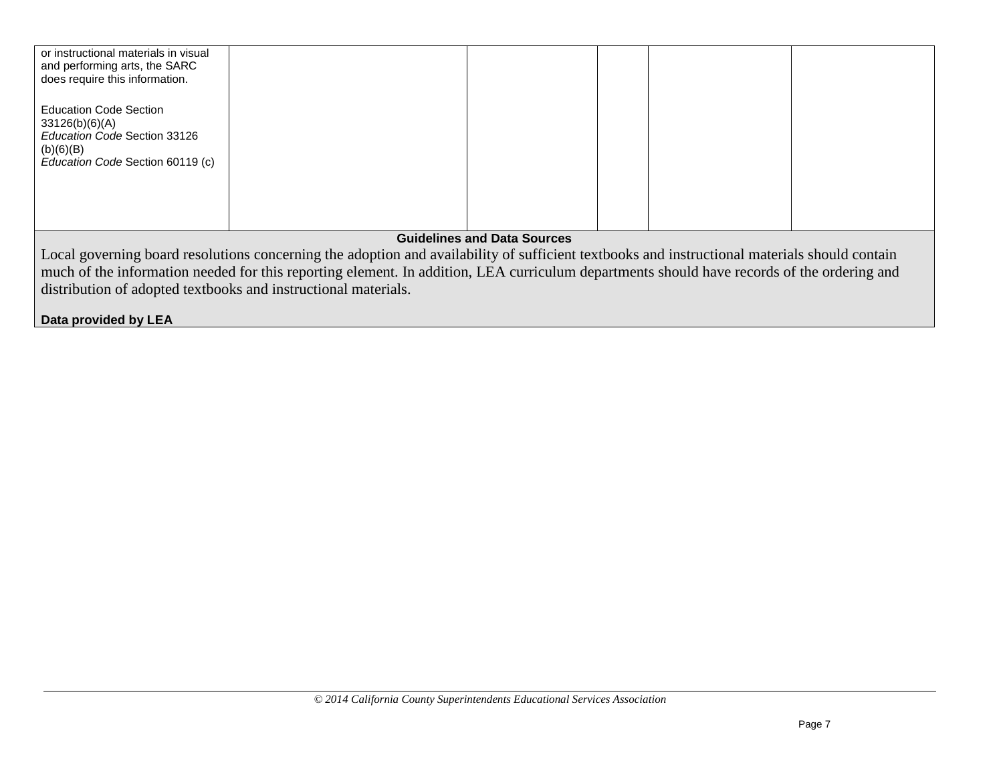| or instructional materials in visual<br>and performing arts, the SARC<br>does require this information.                          |  |  |  |  |
|----------------------------------------------------------------------------------------------------------------------------------|--|--|--|--|
| <b>Education Code Section</b><br>33126(b)(6)(A)<br>Education Code Section 33126<br>(b)(6)(B)<br>Education Code Section 60119 (c) |  |  |  |  |
| <b>Guidelines and Data Sources</b>                                                                                               |  |  |  |  |

Local governing board resolutions concerning the adoption and availability of sufficient textbooks and instructional materials should contain much of the information needed for this reporting element. In addition, LEA curriculum departments should have records of the ordering and distribution of adopted textbooks and instructional materials.

**Data provided by LEA**